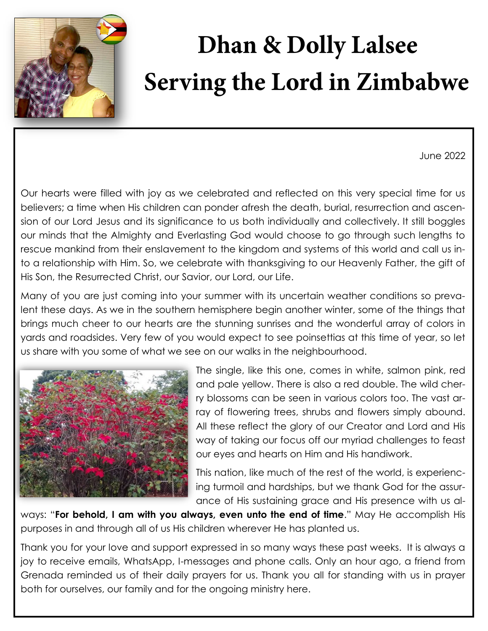

## **Dhan & Dolly Lalsee Serving the Lord in Zimbabwe**

June 2022

Our hearts were filled with joy as we celebrated and reflected on this very special time for us believers; a time when His children can ponder afresh the death, burial, resurrection and ascension of our Lord Jesus and its significance to us both individually and collectively. It still boggles our minds that the Almighty and Everlasting God would choose to go through such lengths to rescue mankind from their enslavement to the kingdom and systems of this world and call us into a relationship with Him. So, we celebrate with thanksgiving to our Heavenly Father, the gift of His Son, the Resurrected Christ, our Savior, our Lord, our Life.

Many of you are just coming into your summer with its uncertain weather conditions so prevalent these days. As we in the southern hemisphere begin another winter, some of the things that brings much cheer to our hearts are the stunning sunrises and the wonderful array of colors in yards and roadsides. Very few of you would expect to see poinsettias at this time of year, so let us share with you some of what we see on our walks in the neighbourhood.



The single, like this one, comes in white, salmon pink, red and pale yellow. There is also a red double. The wild cherry blossoms can be seen in various colors too. The vast array of flowering trees, shrubs and flowers simply abound. All these reflect the glory of our Creator and Lord and His way of taking our focus off our myriad challenges to feast our eyes and hearts on Him and His handiwork.

This nation, like much of the rest of the world, is experiencing turmoil and hardships, but we thank God for the assurance of His sustaining grace and His presence with us al-

ways: "**For behold, I am with you always, even unto the end of time**." May He accomplish His purposes in and through all of us His children wherever He has planted us.

Thank you for your love and support expressed in so many ways these past weeks. It is always a joy to receive emails, WhatsApp, I-messages and phone calls. Only an hour ago, a friend from Grenada reminded us of their daily prayers for us. Thank you all for standing with us in prayer both for ourselves, our family and for the ongoing ministry here.